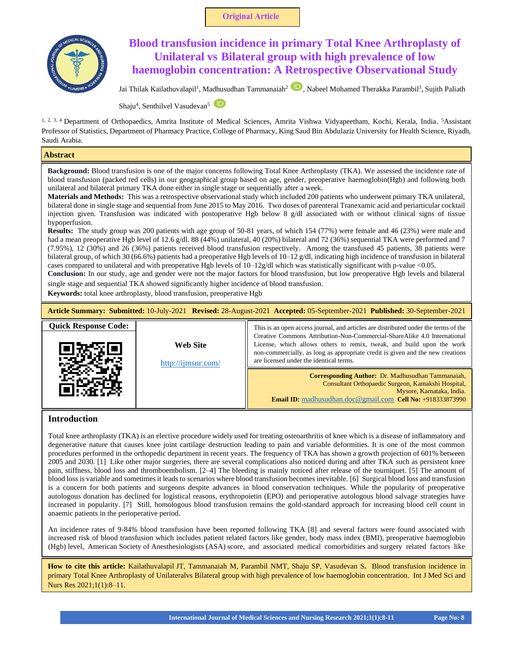



# **Blood transfusion incidence in primary Total Knee Arthroplasty of Unilateral vs Bilateral group with high prevalence of low haemoglobin concentration: A Retrospective Observational Study**

JaiThilak Kailathuvalapil<sup>1</sup>, Madhusudhan Tammanaiah<sup>2</sup> (D), Nabeel Mohamed Therakka Parambil<sup>3</sup>, Sujith Paliath

Shaju<sup>4</sup>, Senthilvel Vasudevan<sup>5</sup>

<sup>1, 2, 3, 4</sup> Department of Orthopaedics, Amrita Institute of Medical Sciences, Amrita Vishwa Vidyapeetham, Kochi, Kerala, India. <sup>5</sup>Assistant Professor of Statistics, Department of Pharmacy Practice, College of Pharmacy, King Saud Bin Abdulaziz University for Health Science, Riyadh, Saudi Arabia.

# **Abstract**

**Background:** Blood transfusion is one of the major concerns following Total Knee Arthroplasty (TKA). We assessed the incidence rate of blood transfusion (packed red cells) in our geographical group based on age, gender, preoperative haemoglobin(Hgb) and following both unilateral and bilateral primary TKA done either in single stage or sequentially after a week.

**Materials and Methods:** This was a retrospective observational study which included 200 patients who underwent primary TKA unilateral, bilateral done in single stage and sequential from June 2015 to May 2016. Two doses of parenteral Tranexamic acid and periarticular cocktail injection given. Transfusion was indicated with postoperative Hgb below 8 g/dl associated with or without clinical signs of tissue hypoperfusion.

**Results:** The study group was 200 patients with age group of 50-81 years, of which 154 (77%) were female and 46 (23%) were male and had a mean preoperative Hgb level of 12.6 g/dl. 88 (44%) unilateral, 40 (20%) bilateral and 72 (36%) sequential TKA were performed and 7 (7.95%), 12 (30%) and 26 (36%) patients received blood transfusion respectively. Among the transfused 45 patients, 38 patients were bilateral group, of which 30 (66.6%) patients had a preoperative Hgb levels of 10–12 g/dl, indicating high incidence of transfusion in bilateral cases compared to unilateral and with preoperative Hgb levels of 10–12g/dl which was statistically significant with p-value <0.05.

**Conclusion:** In our study, age and gender were not the major factors for blood transfusion, but low preoperative Hgb levels and bilateral single stage and sequential TKA showed significantly higher incidence of blood transfusion.

**Keywords:** total knee arthroplasty, blood transfusion, preoperative Hgb

**Article Summary: Submitted:** 10-July-2021 **Revised:** 28-August-2021 **Accepted:** 05-September-2021 **Published:** 30-September-2021

| <b>Quick Response Code:</b> |                                       | This is an open access journal, and articles are distributed under the terms of the                                                                                                                                                                                            |
|-----------------------------|---------------------------------------|--------------------------------------------------------------------------------------------------------------------------------------------------------------------------------------------------------------------------------------------------------------------------------|
|                             | <b>Web Site</b><br>http://ijmsnr.com/ | Creative Commons Attribution-Non-Commercial-ShareAlike 4.0 International<br>License, which allows others to remix, tweak, and build upon the work<br>non-commercially, as long as appropriate credit is given and the new creations<br>are licensed under the identical terms. |
|                             |                                       | <b>Corresponding Author:</b> Dr. Madhusudhan Tammanaiah,<br>Consultant Orthopaedic Surgeon, Kamakshi Hospital,<br>Mysore, Karnataka, India.<br><b>Email ID:</b> madhusudhan.doc@gmail.com <b>Cell No:</b> $+918333873990$                                                      |

# **Introduction**

 $\overline{\phantom{a}}$ 

Total knee arthroplasty (TKA) is an elective procedure widely used for treating osteoarthritis of knee which is a disease of inflammatory and degenerative nature that causes knee joint cartilage destruction leading to pain and variable deformities. It is one of the most common procedures performed in the orthopedic department in recent years. The frequency of TKA has shown a growth projection of 601% between 2005 and 2030. [1] Like other major surgeries, there are several complications also noticed during and after TKA such as persistent knee pain, stiffness, blood loss and thromboembolism. [2–4] The bleeding is mainly noticed after release of the tourniquet. [5] The amount of blood loss is variable and sometimes it leads to scenarios where blood transfusion becomes inevitable. [6] Surgical blood loss and transfusion is a concern for both patients and surgeons despite advances in blood conservation techniques. While the popularity of preoperative autologous donation has declined for logistical reasons, erythropoietin (EPO) and perioperative autologous blood salvage strategies have increased in popularity. [7] Still, homologous blood transfusion remains the gold-standard approach for increasing blood cell count in anaemic patients in the perioperative period.

An incidence rates of 9-84% blood transfusion have been reported following TKA [8] and several factors were found associated with increased risk of blood transfusion which includes patient related factors like gender, body mass index (BMI), preoperative haemoglobin (Hgb) level, American Society of Anesthesiologists (ASA) score, and associated medical comorbidities and surgery related factors like

**How to cite this article:** Kailathuvalapil JT, Tammanaiah M, Parambil NMT, Shaju SP, Vasudevan S**.** Blood transfusion incidence in primary Total Knee Arthroplasty of Unilateralvs Bilateral group with high prevalence of low haemoglobin concentration. Int J Med Sci and Nurs Res 2021;1(1):8–11.

**International Journal of Medical Sciences and Nursing Research 2021;1(1):8-11 Page No: 8**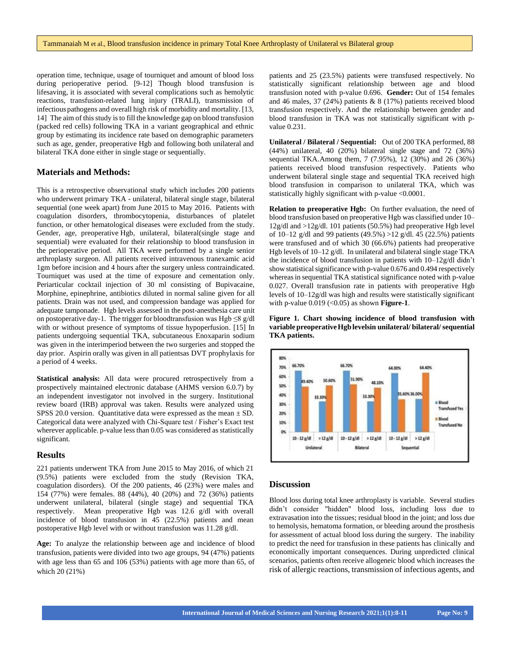operation time, technique, usage of tourniquet and amount of blood loss during perioperative period. [9-12] Though blood transfusion is lifesaving, it is associated with several complications such as hemolytic reactions, transfusion-related lung injury (TRALI), transmission of infectiouspathogens and overall high risk of morbidity and mortality. [13, 14] The aim of this study is to fill the knowledge gap on blood transfusion (packed red cells) following TKA in a variant geographical and ethnic group by estimating its incidence rate based on demographic parameters such as age, gender, preoperative Hgb and following both unilateral and bilateral TKA done either in single stage or sequentially.

#### **Materials and Methods:**

This is a retrospective observational study which includes 200 patients who underwent primary TKA - unilateral, bilateral single stage, bilateral sequential (one week apart) from June 2015 to May 2016. Patients with coagulation disorders, thrombocytopenia, disturbances of platelet function, or other hematological diseases were excluded from the study. Gender, age, preoperative Hgb, unilateral, bilateral(single stage and sequential) were evaluated for their relationship to blood transfusion in the perioperative period. All TKA were performed by a single senior arthroplasty surgeon. All patients received intravenous tranexamic acid 1gm before incision and 4 hours after the surgery unless contraindicated. Tourniquet was used at the time of exposure and cementation only. Periarticular cocktail injection of 30 ml consisting of Bupivacaine, Morphine, epinephrine, antibiotics diluted in normal saline given for all patients. Drain was not used, and compression bandage was applied for adequate tamponade. Hgb levels assessed in the post-anesthesia care unit on postoperative day-1. The trigger for bloodtransfusion was Hgb  $\leq$ 8 g/dl with or without presence of symptoms of tissue hypoperfusion. [15] In patients undergoing sequential TKA, subcutaneous Enoxaparin sodium was given in the interimperiod between the two surgeries and stopped the day prior. Aspirin orally was given in all patientsas DVT prophylaxis for a period of 4 weeks.

**Statistical analysis:** All data were procured retrospectively from a prospectively maintained electronic database (AHMS version 6.0.7) by an independent investigator not involved in the surgery. Institutional review board (IRB) approval was taken. Results were analyzed using SPSS 20.0 version. Quantitative data were expressed as the mean  $\pm$  SD. Categorical data were analyzed with Chi-Square test / Fisher's Exact test wherever applicable. p-value less than 0.05 was considered as statistically significant.

## **Results**

221 patients underwent TKA from June 2015 to May 2016, of which 21 (9.5%) patients were excluded from the study (Revision TKA, coagulation disorders). Of the 200 patients, 46 (23%) were males and 154 (77%) were females. 88 (44%), 40 (20%) and 72 (36%) patients underwent unilateral, bilateral (single stage) and sequential TKA respectively. Mean preoperative Hgb was 12.6 g/dl with overall incidence of blood transfusion in 45 (22.5%) patients and mean postoperative Hgb level with or without transfusion was 11.28 g/dl.

**Age:** To analyze the relationship between age and incidence of blood transfusion, patients were divided into two age groups, 94 (47%) patients with age less than 65 and 106 (53%) patients with age more than 65, of which 20 (21%)

patients and 25 (23.5%) patients were transfused respectively. No statistically significant relationship between age and blood transfusion noted with p-value 0.696. **Gender:** Out of 154 females and 46 males, 37 (24%) patients & 8 (17%) patients received blood transfusion respectively. And the relationship between gender and blood transfusion in TKA was not statistically significant with pvalue 0.231.

**Unilateral / Bilateral / Sequential:** Out of 200 TKA performed, 88 (44%) unilateral, 40 (20%) bilateral single stage and 72 (36%) sequential TKA.Among them, 7 (7.95%), 12 (30%) and 26 (36%) patients received blood transfusion respectively. Patients who underwent bilateral single stage and sequential TKA received high blood transfusion in comparison to unilateral TKA, which was statistically highly significant with p-value <0.0001.

**Relation to preoperative Hgb:** On further evaluation, the need of blood transfusion based on preoperative Hgb was classified under 10– 12g/dl and >12g/dl. 101 patients (50.5%) had preoperative Hgb level of 10–12 g/dl and 99 patients (49.5%) >12 g/dl. 45 (22.5%) patients were transfused and of which 30 (66.6%) patients had preoperative Hgb levels of 10–12 g/dl. In unilateral and bilateral single stage TKA the incidence of blood transfusion in patients with 10–12g/dl didn't show statistical significance with p-value  $0.676$  and  $0.494$  respectively whereas in sequential TKA statistical significance noted with p-value 0.027. Overall transfusion rate in patients with preoperative Hgb levels of 10–12g/dl was high and results were statistically significant with p-value 0.019 (<0.05) as shown **Figure-1**.





## **Discussion**

Blood loss during total knee arthroplasty is variable. Several studies didn't consider "hidden" blood loss, including loss due to extravasation into the tissues; residual blood in the joint; and loss due to hemolysis, hematoma formation, or bleeding around the prosthesis for assessment of actual blood loss during the surgery. The inability to predict the need for transfusion in these patients has clinically and economically important consequences. During unpredicted clinical scenarios, patients often receive allogeneic blood which increases the risk of allergic reactions, transmission of infectious agents, and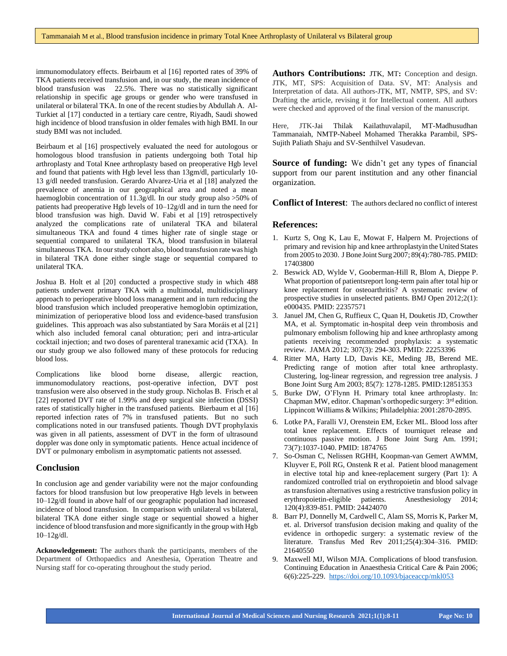immunomodulatory effects. Beirbaum et al [16] reported rates of 39% of TKA patients received transfusion and, in our study, the mean incidence of blood transfusion was 22.5%. There was no statistically significant relationship in specific age groups or gender who were transfused in unilateral or bilateral TKA. In one of the recent studies by Abdullah A. Al-Turkiet al [17] conducted in a tertiary care centre, Riyadh, Saudi showed high incidence of blood transfusion in older females with high BMI. In our study BMI was not included.

Beirbaum et al [16] prospectively evaluated the need for autologous or homologous blood transfusion in patients undergoing both Total hip arthroplasty and Total Knee arthroplasty based on preoperative Hgb level and found that patients with Hgb level less than 13gm/dl, particularly 10- 13 g/dl needed transfusion. Gerardo Alvarez-Uria et al [18] analyzed the prevalence of anemia in our geographical area and noted a mean haemoglobin concentration of 11.3g/dl. In our study group also >50% of patients had preoperative Hgb levels of 10–12g/dl and in turn the need for blood transfusion was high. David W. Fabi et al [19] retrospectively analyzed the complications rate of unilateral TKA and bilateral simultaneous TKA and found 4 times higher rate of single stage or sequential compared to unilateral TKA, blood transfusion in bilateral simultaneous TKA. In our study cohort also, blood transfusion rate was high in bilateral TKA done either single stage or sequential compared to unilateral TKA.

Joshua B. Holt et al [20] conducted a prospective study in which 488 patients underwent primary TKA with a multimodal, multidisciplinary approach to perioperative blood loss management and in turn reducing the blood transfusion which included preoperative hemoglobin optimization, minimization of perioperative blood loss and evidence-based transfusion guidelines. This approach was also substantiated by Sara Moráis et al [21] which also included femoral canal obturation; peri and intra-articular cocktail injection; and two doses of parenteral tranexamic acid (TXA). In our study group we also followed many of these protocols for reducing blood loss.

Complications like blood borne disease, allergic reaction, immunomodulatory reactions, post-operative infection, DVT post transfusion were also observed in the study group. Nicholas B. Frisch et al [22] reported DVT rate of 1.99% and deep surgical site infection (DSSI) rates of statistically higher in the transfused patients. Bierbaum et al [16] reported infection rates of 7% in transfused patients. But no such complications noted in our transfused patients. Though DVT prophylaxis was given in all patients, assessment of DVT in the form of ultrasound doppler was done only in symptomatic patients. Hence actual incidence of DVT or pulmonary embolism in asymptomatic patients not assessed.

#### **Conclusion**

In conclusion age and gender variability were not the major confounding factors for blood transfusion but low preoperative Hgb levels in between 10–12g/dl found in above half of our geographic population had increased incidence of blood transfusion. In comparison with unilateral vs bilateral, bilateral TKA done either single stage or sequential showed a higher incidence of blood transfusion and more significantly in the group with Hgb  $10 - 12g/dl$ .

**Acknowledgement:** The authors thank the participants, members of the Department of Orthopaedics and Anesthesia, Operation Theatre and Nursing staff for co-operating throughout the study period.

**Authors Contributions:** JTK, MT**:** Conception and design. JTK, MT, SPS: Acquisition of Data. SV, MT: Analysis and Interpretation of data. All authors-JTK, MT, NMTP, SPS, and SV: Drafting the article, revising it for Intellectual content. All authors were checked and approved of the final version of the manuscript.

Here, JTK-Jai Thilak Kailathuvalapil, MT-Madhusudhan Tammanaiah, NMTP-Nabeel Mohamed Therakka Parambil, SPS-Sujith Paliath Shaju and SV-Senthilvel Vasudevan.

**Source of funding:** We didn't get any types of financial support from our parent institution and any other financial organization.

**Conflict of Interest**: The authors declared no conflict of interest

#### **References:**

- 1. Kurtz S, Ong K, Lau E, Mowat F, Halpern M. Projections of primary and revision hip and knee arthroplastyin the United States from2005 to 2030. JBone Joint Surg 2007; 89(4):780-785. PMID: 17403800
- 2. Beswick AD, Wylde V, Gooberman-Hill R, Blom A, Dieppe P. What proportion of patientsreport long-term pain after total hip or knee replacement for osteoarthritis? A systematic review of prospective studies in unselected patients. BMJ Open 2012;2(1): e000435. PMID: 22357571
- 3. Januel JM, Chen G, Ruffieux C, Quan H, Douketis JD, Crowther MA, et al. Symptomatic in-hospital deep vein thrombosis and pulmonary embolism following hip and knee arthroplasty among patients receiving recommended prophylaxis: a systematic review. JAMA 2012; 307(3): 294-303. PMID: 22253396
- 4. Ritter MA, Harty LD, Davis KE, Meding JB, Berend ME. Predicting range of motion after total knee arthroplasty. Clustering, log-linear regression, and regression tree analysis. J Bone Joint Surg Am 2003; 85(7): 1278-1285. PMID:12851353
- 5. Burke DW, O'Flynn H. Primary total knee arthroplasty. In: Chapman MW, editor. Chapman's orthopedic surgery: 3<sup>rd</sup> edition. Lippincott Williams & Wilkins; Philadelphia: 2001:2870-2895.
- 6. Lotke PA, Faralli VJ, Orenstein EM, Ecker ML. Blood loss after total knee replacement. Effects of tourniquet release and continuous passive motion. J Bone Joint Surg Am. 1991; 73(7):1037-1040. PMID: 1874765
- 7. So-Osman C, Nelissen RGHH, Koopman-van Gemert AWMM, Kluyver E, Pöll RG, Onstenk R et al. Patient blood management in elective total hip and knee-replacement surgery (Part 1): A randomized controlled trial on erythropoietin and blood salvage as transfusion alternatives using a restrictive transfusion policy in erythropoietin-eligible patients. Anesthesiology 2014; 120(4):839-851. PMID: 24424070
- 8. Barr PJ, Donnelly M, Cardwell C, Alam SS, Morris K, Parker M, et. al. Driversof transfusion decision making and quality of the evidence in orthopedic surgery: a systematic review of the literature. Transfus Med Rev 2011;25(4):304–316. PMID: 21640550
- 9. Maxwell MJ, Wilson MJA. Complications of blood transfusion. Continuing Education in Anaesthesia Critical Care & Pain 2006; 6(6):225-229.<https://doi.org/10.1093/bjaceaccp/mkl053>